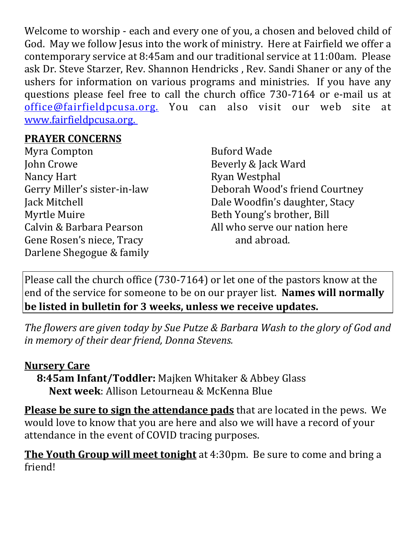Welcome to worship - each and every one of you, a chosen and beloved child of God. May we follow Jesus into the work of ministry. Here at Fairfield we offer a contemporary service at 8:45am and our traditional service at 11:00am. Please ask Dr. Steve Starzer, Rev. Shannon Hendricks , Rev. Sandi Shaner or any of the ushers for information on various programs and ministries. If you have any questions please feel free to call the church office 730-7164 or e-mail us at office@fairfieldpcusa.org. You can also visit our web site at www.fairfieldpcusa.org.

## **PRAYER CONCERNS**

Myra Compton John Crowe Nancy Hart Gerry Miller's sister-in-law Jack Mitchell Myrtle Muire Calvin & Barbara Pearson Gene Rosen's niece, Tracy Darlene Shegogue & family Buford Wade Beverly & Jack Ward Ryan Westphal Deborah Wood's friend Courtney Dale Woodfin's daughter, Stacy Beth Young's brother, Bill All who serve our nation here and abroad.

Please call the church office (730-7164) or let one of the pastors know at the end of the service for someone to be on our prayer list. **Names will normally be listed in bulletin for 3 weeks, unless we receive updates.**

*The flowers are given today by Sue Putze & Barbara Wash to the glory of God and in memory of their dear friend, Donna Stevens.*

## **Nursery Care**

**8:45am Infant/Toddler:** Majken Whitaker & Abbey Glass **Next week**: Allison Letourneau & McKenna Blue

**Please be sure to sign the attendance pads** that are located in the pews. We would love to know that you are here and also we will have a record of your attendance in the event of COVID tracing purposes.

**The Youth Group will meet tonight** at 4:30pm. Be sure to come and bring a friend!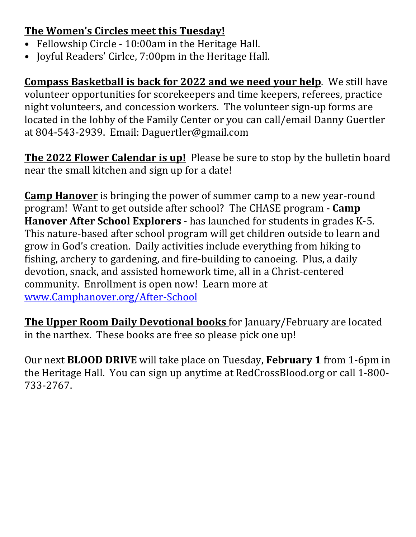## **The Women's Circles meet this Tuesday!**

- Fellowship Circle 10:00am in the Heritage Hall.
- Joyful Readers' Cirlce, 7:00pm in the Heritage Hall.

**Compass Basketball is back for 2022 and we need your help**. We still have volunteer opportunities for scorekeepers and time keepers, referees, practice night volunteers, and concession workers. The volunteer sign-up forms are located in the lobby of the Family Center or you can call/email Danny Guertler at 804-543-2939. Email: Daguertler@gmail.com

**The 2022 Flower Calendar is up!** Please be sure to stop by the bulletin board near the small kitchen and sign up for a date!

**Camp Hanover** is bringing the power of summer camp to a new year-round program! Want to get outside after school? The CHASE program - **Camp Hanover After School Explorers** - has launched for students in grades K-5. This nature-based after school program will get children outside to learn and grow in God's creation. Daily activities include everything from hiking to fishing, archery to gardening, and fire-building to canoeing. Plus, a daily devotion, snack, and assisted homework time, all in a Christ-centered community. Enrollment is open now! Learn more at www.Camphanover.org/After-School

**The Upper Room Daily Devotional books** for January/February are located in the narthex. These books are free so please pick one up!

Our next **BLOOD DRIVE** will take place on Tuesday, **February 1** from 1-6pm in the Heritage Hall. You can sign up anytime at RedCrossBlood.org or call 1-800- 733-2767.